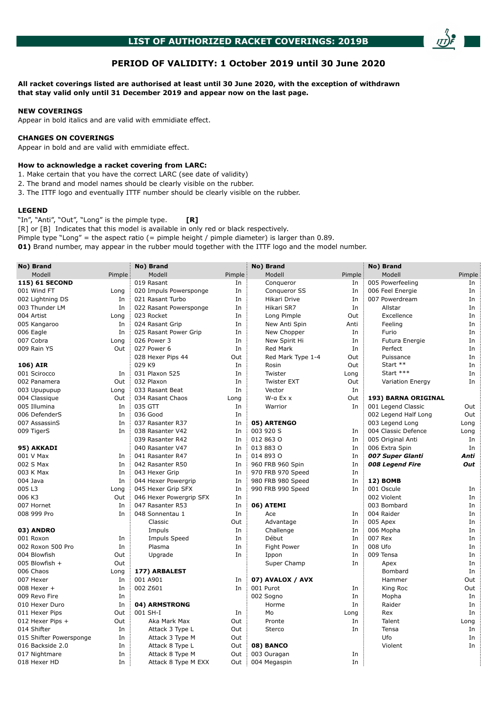# **PERIOD OF VALIDITY: 1 October 2019 until 30 June 2020**

**All racket coverings listed are authorised at least until 30 June 2020, with the exception of withdrawn that stay valid only until 31 December 2019 and appear now on the last page.**

### **NEW COVERINGS**

Appear in bold italics and are valid with emmidiate effect.

#### **CHANGES ON COVERINGS**

Appear in bold and are valid with emmidiate effect.

### **How to acknowledge a racket covering from LARC:**

- 1. Make certain that you have the correct LARC (see date of validity)
- 2. The brand and model names should be clearly visible on the rubber.
- 3. The ITTF logo and eventually ITTF number should be clearly visible on the rubber.

#### **LEGEND**

"In", "Anti", "Out", "Long" is the pimple type. **[R]** [R] or [B] Indicates that this model is available in only red or black respectively. Pimple type "Long" = the aspect ratio  $(=$  pimple height  $/$  pimple diameter) is larger than 0.89.

**01)** Brand number, may appear in the rubber mould together with the ITTF logo and the model number.

| No) Brand               |        | No) Brand               |        | No) Brand          |         | No) Brand               |        |
|-------------------------|--------|-------------------------|--------|--------------------|---------|-------------------------|--------|
| Modell                  | Pimple | Modell                  | Pimple | Modell             | Pimple: | Modell                  | Pimple |
| 115) 61 SECOND          |        | 019 Rasant              | In     | Conqueror          | In      | 005 Powerfeeling        | In     |
| 001 Wind FT             | Long   | 020 Impuls Powersponge  | In     | Conqueror SS       | In      | 006 Feel Energie        | In     |
| 002 Lightning DS        | In     | 021 Rasant Turbo        | In     | Hikari Drive       | In      | 007 Powerdream          | In     |
| 003 Thunder LM          | In     | 022 Rasant Powersponge  | In     | Hikari SR7         | In      | Allstar                 | In     |
| 004 Artist              | Long   | 023 Rocket              | In     | Long Pimple        | Out     | Excellence              | In     |
| 005 Kangaroo            | In     | 024 Rasant Grip         | In     | New Anti Spin      | Anti    | Feeling                 | In     |
| 006 Eagle               | In     | 025 Rasant Power Grip   | In     | New Chopper        | In      | Furio                   | In     |
| 007 Cobra               | Long   | 026 Power 3             | In     | New Spirit Hi      | In      | Futura Energie          | In     |
| 009 Rain YS             | Out    | 027 Power 6             | In     | Red Mark           | In      | Perfect                 | In     |
|                         |        | 028 Hexer Pips 44       | Out    | Red Mark Type 1-4  | Out     | Puissance               | In     |
| 106) AIR                |        | 029 K9                  | In     | Rosin              | Out     | Start **                | In     |
| 001 Scirocco            | In     | 031 Plaxon 525          | In     | Twister            | Long    | Start ***               | In     |
| 002 Panamera            | Out    | 032 Plaxon              | In     | <b>Twister EXT</b> | Out     | <b>Variation Energy</b> | In     |
| 003 Upupupup            | Long   | 033 Rasant Beat         | In     | Vector             | In      |                         |        |
| 004 Classique           | Out    | 034 Rasant Chaos        | Long   | W-a Ex x           | Out     | 193) BARNA ORIGINAL     |        |
| 005 Illumina            | In     | 035 GTT                 | In     | Warrior            | In      | 001 Legend Classic      | Out    |
| 006 DefenderS           | In     | 036 Good                | In     |                    |         | 002 Legend Half Long    | Out    |
| 007 AssassinS           | In     | 037 Rasanter R37        | In     | 05) ARTENGO        |         | 003 Legend Long         | Long   |
| 009 TigerS              | In     | 038 Rasanter V42        | In     | 003 920 S          | In      | 004 Classic Defence     | Long   |
|                         |        | 039 Rasanter R42        | In     | 012 863 0          | In      | 005 Original Anti       | In     |
| 95) AKKADI              |        | 040 Rasanter V47        | In     | 013 883 0          | In      | 006 Extra Spin          | In     |
| 001 V Max               | In     | 041 Rasanter R47        | In     | 014 893 0          | In      | 007 Super Glanti        | Anti   |
| 002 S Max               | In     | 042 Rasanter R50        | In     | 960 FRB 960 Spin   | In      | 008 Legend Fire         | Out    |
| 003 K Max               | In     | 043 Hexer Grip          | In     | 970 FRB 970 Speed  | In      |                         |        |
| 004 Java                | In     | 044 Hexer Powergrip     | In     | 980 FRB 980 Speed  | In      | 12) BOMB                |        |
| 005L3                   | Long   | 045 Hexer Grip SFX      | In     | 990 FRB 990 Speed  | In      | 001 Oscule              | In     |
| 006 K3                  | Out    | 046 Hexer Powergrip SFX | In     |                    |         | 002 Violent             | In     |
| 007 Hornet              | In     | 047 Rasanter R53        | In     | 06) ATEMI          |         | 003 Bombard             | In     |
| 008 999 Pro             | In     | 048 Sonnentau 1         | In     | Ace                | In      | 004 Raider              | In     |
|                         |        | Classic                 | Out    | Advantage          | In      | 005 Apex                | In     |
| 03) ANDRO               |        | Impuls                  | In     | Challenge          | In      | 006 Mopha               | In     |
| 001 Roxon               | In     | <b>Impuls Speed</b>     | In     | Début              | In      | 007 Rex                 | In     |
| 002 Roxon 500 Pro       | In     | Plasma                  | In     | <b>Fight Power</b> | In      | 008 Ufo                 | In     |
| 004 Blowfish            | Out    | Upgrade                 | In     | Ippon              | In      | 009 Tensa               | In     |
| 005 Blowfish +          | Out    |                         |        | Super Champ        | In      | Apex                    | In     |
| 006 Chaos               | Long   | 177) ARBALEST           |        |                    |         | Bombard                 | In     |
| 007 Hexer               | In     | 001 A901                | In     | 07) AVALOX / AVX   |         | Hammer                  | Out    |
| 008 Hexer +             | In     | 002 Z601                | In     | 001 Purot          | In      | King Roc                | Out    |
| 009 Revo Fire           | In     |                         |        | 002 Sogno          | In      | Mopha                   | In     |
| 010 Hexer Duro          | In     | 04) ARMSTRONG           |        | Horme              | In      | Raider                  | In     |
| 011 Hexer Pips          | Out    | 001 SH-I                | In     | Mo                 | Long    | Rex                     | In     |
| 012 Hexer Pips +        | Out    | Aka Mark Max            | Out    | Pronte             | In      | Talent                  | Long   |
| 014 Shifter             | In     | Attack 3 Type L         | Out    | Sterco             | In      | Tensa                   | In     |
| 015 Shifter Powersponge | In     | Attack 3 Type M         | Out    |                    |         | Ufo                     | In     |
| 016 Backside 2.0        | In     | Attack 8 Type L         | Out    | 08) BANCO          |         | Violent                 | In     |
| 017 Nightmare           | In     | Attack 8 Type M         | Out    | 003 Ouragan        | In      |                         |        |
| 018 Hexer HD            | In     | Attack 8 Type M EXX     | Out    | 004 Megaspin       | In      |                         |        |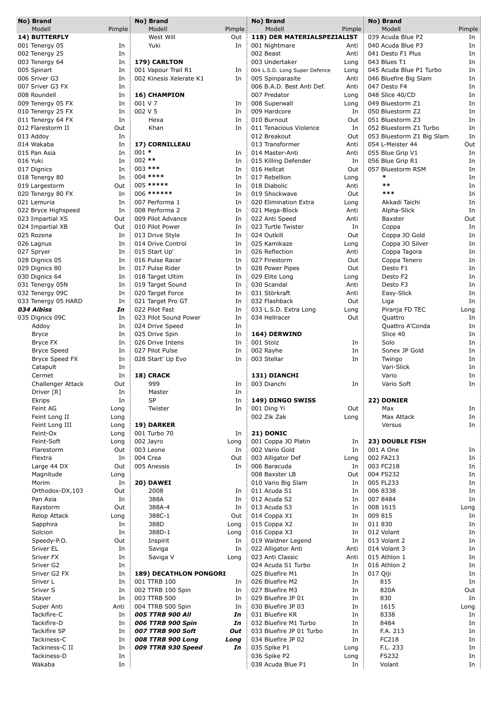| No) Brand                       |          |          | No) Brand                     |           | No) Brand                                    |          | No) Brand                              |          |
|---------------------------------|----------|----------|-------------------------------|-----------|----------------------------------------------|----------|----------------------------------------|----------|
| Modell                          | Pimple   |          | Modell                        | Pimple    | Modell                                       | Pimple : | Modell                                 | Pimple   |
| 14) BUTTERFLY<br>001 Tenergy 05 |          |          | West Will                     | Out<br>In | 118) DER MATERIALSPEZIALIST<br>001 Nightmare | Anti     | 039 Acuda Blue P2                      | In<br>In |
|                                 | In<br>In |          | Yuki                          |           | 002 Beast                                    | Anti     | 040 Acuda Blue P3<br>041 Desto F1 Plus | In       |
| 002 Tenergy 25                  | In       |          | 179) CARLTON                  |           | 003 Undertaker                               | Long     | 043 Blues T1                           | In       |
| 003 Tenergy 64<br>005 Spinart   | In       |          | 001 Vapour Trail R1           | In        | 004 L.S.D. Long Super Defence                | Long     | 045 Acuda Blue P1 Turbo                | In       |
| 006 Sriver G3                   | In       |          | 002 Kinesis Xelerate K1       | In        | 005 Spinparasite                             | Anti     | 046 Bluefire Big Slam                  | In       |
| 007 Sriver G3 FX                | In       |          |                               |           | 006 B.A.D. Best Anti Def.                    | Anti     | 047 Desto F4                           | In       |
| 008 Roundell                    | In       |          | 16) CHAMPION                  |           | 007 Predator                                 | Long     | 048 Slice 40/CD                        | In       |
| 009 Tenergy 05 FX               | In       | 001 V 7  |                               | In        | 008 Superwall                                | Long     | 049 Bluestorm Z1                       | In       |
| 010 Tenergy 25 FX               | In       | 002 V 5  |                               | In        | 009 Hardcore                                 | In       | 050 Bluestorm Z2                       | In       |
| 011 Tenergy 64 FX               | In       |          | Hexa                          | In        | 010 Burnout                                  | Out      | 051 Bluestorm Z3                       | In       |
| 012 Flarestorm II               | Out      |          | Khan                          | In        | 011 Tenacious Violence                       | In       | 052 Bluestorm Z1 Turbo                 | In       |
| 013 Addoy                       | In       |          |                               |           | 012 Breakout                                 | Out      | 053 Bluestorm Z1 Big Slam              | In       |
| 014 Wakaba                      | In       |          | 17) CORNILLEAU                |           | 013 Transformer                              | Anti     | 054 L-Meister 44                       | Out      |
| 015 Pan Asia                    | In       | $001 *$  |                               | In        | 014 Master-Anti                              | Anti     | 055 Blue Grip V1                       | In       |
| 016 Yuki                        | In       | $002$ ** |                               | In        | 015 Killing Defender                         | In       | 056 Blue Grip R1                       | In       |
| 017 Dignics                     | In       |          | 003 ***                       | In        | 016 Hellcat                                  | Out      | 057 Bluestorm RSM                      | In       |
| 018 Tenergy 80                  | In       |          | $004$ ****                    | In        | 017 Rebellion                                | Long     | $\ast$                                 | In       |
| 019 Largestorm                  | Out      |          | 005 *****                     | In        | 018 Diabolic                                 | Anti     | $**$                                   | In       |
| 020 Tenergy 80 FX               | In       |          | 006 ******                    | In        | 019 Shockwave                                | Out      | ***                                    | In       |
| 021 Lemuria                     | In       |          | 007 Performa 1                | In        | 020 Elimination Extra                        | Long     | Akkadi Taichi                          | In       |
| 022 Bryce Highspeed             | In       |          | 008 Performa 2                | In        | 021 Mega-Block                               | Anti     | Alpha-Slick                            | In       |
| 023 Impartial XS                | Out      |          | 009 Pilot Advance             | In        | 022 Anti Speed                               | Anti     | <b>Baxster</b>                         | Out      |
| 024 Impartial XB                | Out      |          | 010 Pilot Power               | In        | 023 Turtle Twister                           | In       | Coppa                                  | In       |
| 025 Rozena                      | In       |          | 013 Drive Style               | In        | 024 Outkill                                  | Out      | Coppa JO Gold                          | In       |
| 026 Lagnus                      | In       |          | 014 Drive Control             | In        | 025 Kamikaze                                 | Long     | Coppa JO Silver                        | In       |
| 027 Spryer                      | In       |          | 015 Start Up'                 | In        | 026 Reflection                               | Anti     | Coppa Tagora                           | In       |
| 028 Dignics 05                  | In       |          | 016 Pulse Racer               | In        | 027 Firestorm                                | Out      | Coppa Tenero                           | In       |
| 029 Dignics 80                  | In       |          | 017 Pulse Rider               | In        | 028 Power Pipes                              | Out      | Desto F1                               | In       |
| 030 Dignics 64                  | In       |          | 018 Target Ultim              | In        | 029 Elite Long                               | Long     | Desto F2                               | In       |
| 031 Tenergy 05N                 | In       |          | 019 Target Sound              | In        | 030 Scandal                                  | Anti     | Desto F3                               | In       |
| 032 Tenergy 09C                 | In       |          | 020 Target Force              | In        | 031 Störkraft                                | Anti     | Easy-Slick                             | In       |
| 033 Tenergy 05 HARD             | In       |          | 021 Target Pro GT             | In        | 032 Flashback                                | Out      | Liga                                   | In       |
| 034 Aibiss                      | In       |          | 022 Pilot Fast                | In        | 033 L.S.D. Extra Long                        | Long     | Piranja FD TEC                         | Long     |
| 035 Dignics 09C                 | In       |          | 023 Pilot Sound Power         | In        | 034 Hellracer                                | Out      | Quattro                                | In       |
| Addoy                           | In       |          | 024 Drive Speed               | In        |                                              |          | Quattro A'Conda                        | In       |
| <b>Bryce</b>                    | In       |          | 025 Drive Spin                | In        | 164) DERWIND                                 |          | Slice 40                               | In       |
| Bryce FX                        | In       |          | 026 Drive Intens              | In        | 001 Stolz                                    | In       | Solo                                   | In       |
| <b>Bryce Speed</b>              | In       |          | 027 Pilot Pulse               | In        | 002 Rayhe                                    | In       | Sonex JP Gold                          | In       |
| Bryce Speed FX                  | In       |          | 028 Start' Up Evo             | In        | 003 Stellar                                  | In       | Twingo                                 | In       |
| Catapult                        | In       |          |                               |           |                                              |          | Vari-Slick                             | In       |
| Cermet                          | In       |          | 18) CRACK                     |           | 131) DIANCHI                                 |          | Vario                                  | In       |
| <b>Challenger Attack</b>        | Out      |          | 999                           | In        | 003 Dianchi                                  | In       | Vario Soft                             | In       |
| Driver [R]                      | In       |          | Master                        | In        |                                              |          |                                        |          |
| Ekrips                          | In       |          | SP                            | In        | 149) DINGO SWISS                             |          | 22) DONIER                             |          |
| Feint AG                        | Long     |          | Twister                       | In        | 001 Ding Yi                                  | Out      | Max                                    | In       |
| Feint Long II                   | Long     |          |                               |           | 002 Zik Zak                                  | Long     | Max Attack                             | In       |
| Feint Long III                  | Long     |          | 19) DARKER                    |           |                                              |          | Versus                                 | In       |
| Feint-Ox                        | Long     |          | 001 Turbo 70                  | In        | 21) DONIC                                    |          |                                        |          |
| Feint-Soft                      | Long     |          | 002 Jayro                     | Long      | 001 Coppa JO Platin                          | In       | 23) DOUBLE FISH                        |          |
| Flarestorm                      | Out      |          | 003 Leone                     | In        | 002 Vario Gold                               | In       | 001 A One                              | In       |
| Flextra                         | In       |          | 004 Crea                      | Out       | 003 Alligator Def                            | Long     | 002 FA213                              | In       |
| Large 44 DX                     | Out      |          | 005 Anessis                   | In        | 006 Baracuda                                 | In       | 003 FC218                              | In       |
| Magnitude                       | Long     |          |                               |           | 008 Baxster LB                               | Out      | 004 FS232                              | In       |
| Morim                           | In       |          | 20) DAWEI                     |           | 010 Vario Big Slam                           | In       | 005 FL233                              | In       |
| Orthodox-DX,103                 | Out      |          | 2008                          | In        | 011 Acuda S1                                 | In       | 006 8338                               | In       |
| Pan Asia                        | In       |          | 388A                          | In        | 012 Acuda S2                                 | In       | 007 8484                               | In       |
| Raystorm                        | Out      |          | 388A-4                        | In        | 013 Acuda S3                                 | In       | 008 1615                               | Long     |
| Relop Attack                    | Long     |          | 388C-1                        | Out       | 014 Coppa X1                                 | In       | 009 815                                | In       |
| Sapphira                        | In       |          | 388D                          | Long      | 015 Coppa X2                                 | In       | 011 830                                | In       |
| Solcion                         | In       |          | 388D-1                        | Long      | 016 Coppa X3                                 | In       | 012 Volant                             | In       |
| Speedy-P.O.                     | Out      |          | Inspirit                      | In        | 019 Waldner Legend                           | In       | 013 Volant 2                           | In       |
| Sriver EL                       | In       |          | Saviga                        | In        | 022 Alligator Anti                           | Anti     | 014 Volant 3                           | In       |
| Sriver FX                       | In       |          | Saviga V                      | Long      | 023 Anti Classic                             | Anti     | 015 Athlon 1                           | In       |
| Sriver G2                       | In       |          |                               |           | 024 Acuda S1 Turbo                           | In       | 016 Athlon 2                           | In       |
| Sriver G2 FX                    | In       |          | <b>189) DECATHLON PONGORI</b> |           | 025 Bluefire M1                              | In       | 017 Qiji                               | In       |
| Sriver L                        | In       |          | 001 TTRB 100                  | In        | 026 Bluefire M2                              | In       | 815                                    | In       |
| Sriver S                        | In       |          | 002 TTRB 100 Spin             | In        | 027 Bluefire M3                              | In       | 820A                                   | Out      |
| Stayer                          | In       |          | 003 TTRB 500                  | In        | 029 Bluefire JP 01                           | In       | 830                                    | In       |
| Super Anti                      | Anti     |          | 004 TTRB 500 Spin             | In        | 030 Bluefire JP 03                           | In       | 1615                                   | Long     |
| Tackifire-C                     | In       |          | <b>005 TTRB 900 All</b>       | In        | 031 Bluefire KR                              | In       | 8338                                   | In       |
| Tackifire-D                     | In       |          | 006 TTRB 900 Spin             | In        | 032 Bluefire M1 Turbo                        | In       | 8484                                   | In       |
| Tackifire SP                    | In       |          | 007 TTRB 900 Soft             | Out       | 033 Bluefire JP 01 Turbo                     | In       | F.A. 213                               | In       |
| Tackiness-C                     | In       |          | 008 TTRB 900 Long             | Long      | 034 Bluefire JP 02                           | In       | FC218                                  | In       |
| Tackiness-C II                  | In       |          | 009 TTRB 930 Speed            | In        | 035 Spike P1                                 | Long     | F.L. 233                               | In       |
| Tackiness-D                     | In       |          |                               |           | 036 Spike P2                                 | Long     | <b>FS232</b>                           | In       |
| Wakaba                          | In       |          |                               |           | 038 Acuda Blue P1                            | In       | Volant                                 | In       |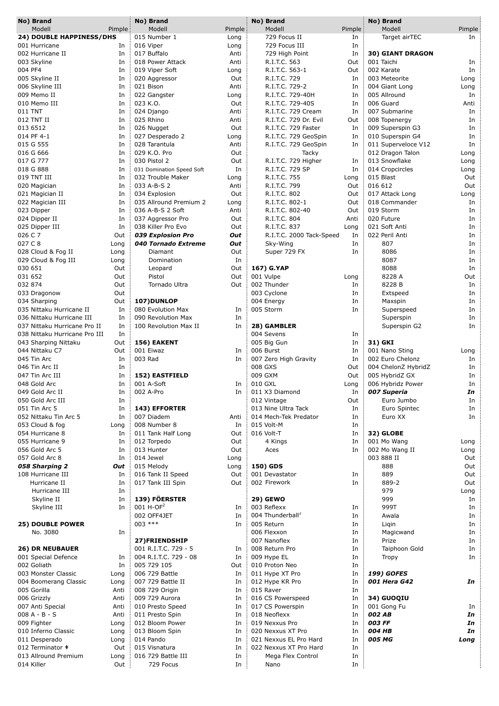|         | No) Brand                           |        | No) Brand                   |        | No) Brand                                   |            | No) Brand               |          |
|---------|-------------------------------------|--------|-----------------------------|--------|---------------------------------------------|------------|-------------------------|----------|
|         | Modell                              | Pimple | Modell                      | Pimple | Modell                                      | Pimple     | Modell                  | Pimple   |
|         | 24) DOUBLE HAPPINESS/DHS            |        | 015 Number 1                | Long   | 729 Focus II                                | In         | Target airTEC           | In       |
|         | 001 Hurricane                       | In     | 016 Viper                   | Long   | 729 Focus III                               | In         |                         |          |
|         | 002 Hurricane II                    | In     | 017 Buffalo                 | Anti   | 729 High Point                              | In         | <b>30) GIANT DRAGON</b> |          |
|         | 003 Skyline                         | In     | 018 Power Attack            | Anti   | R.I.T.C. 563                                | Out        | 001 Taichi              | In       |
| 004 PF4 |                                     | In     | 019 Viper Soft              | Long   | R.I.T.C. 563-1                              | Out        | 002 Karate              | In       |
|         | 005 Skyline II                      | In     | 020 Aggressor               | Out    | R.I.T.C. 729                                | In         | 003 Meteorite           | Long     |
|         | 006 Skyline III                     | In     | 021 Bison                   | Anti   | R.I.T.C. 729-2                              | In         | 004 Giant Long          | Long     |
|         | 009 Memo II                         | In     | 022 Gangster                | Long   | R.I.T.C. 729-40H                            | In         | 005 Allround            | In       |
|         | 010 Memo III                        | In     | 023 K.O.                    | Out    | R.I.T.C. 729-40S                            | In         | 006 Guard               | Anti     |
| 011 TNT |                                     | In     | 024 Django                  | Anti   | R.I.T.C. 729 Cream                          | In         | 007 Submarine           | In       |
|         | 012 TNT II                          | In     | 025 Rhino                   | Anti   | R.I.T.C. 729 Dr. Evil                       | Out        | 008 Topenergy           | In       |
|         | 013 6512                            | In     | 026 Nugget                  | Out    | R.I.T.C. 729 Faster                         | In         | 009 Superspin G3        | In       |
|         | 014 PF 4-1                          | In     | 027 Desperado 2             | Long   | R.I.T.C. 729 GeoSpin                        | In         | 010 Superspin G4        | In       |
|         | 015 G 555                           | In     | 028 Tarantula               | Anti   | R.I.T.C. 729 GeoSpin                        | In         | 011 Superveloce V12     | In       |
|         | 016 G 666                           | In     | 029 K.O. Pro                | Out    | Tacky                                       |            | 012 Dragon Talon        | Long     |
|         | 017 G 777                           | In     | 030 Pistol 2                | Out    | R.I.T.C. 729 Higher                         | In         | 013 Snowflake           | Long     |
|         | 018 G 888                           | In     | 031 Domination Speed Soft   | In     | R.I.T.C. 729 SP                             | In         | 014 Cropcircles         | Long     |
|         | 019 TNT III                         | In     | 032 Trouble Maker           | Long   | R.I.T.C. 755                                | Long       | 015 Blast               | Out      |
|         | 020 Magician                        | In     | 033 A-B-S 2                 | Anti   | R.I.T.C. 799                                | Out        | 016 612                 | Out      |
|         | 021 Magician II                     | In     | 034 Explosion               | Out    | R.I.T.C. 802                                | Out        | 017 Attack Long         | Long     |
|         | 022 Magician III                    | In     | 035 Allround Premium 2      | Long   | R.I.T.C. 802-1                              | Out        | 018 Commander           | In       |
|         | 023 Dipper                          | In     | 036 A-B-S 2 Soft            | Anti   | R.I.T.C. 802-40                             | Out        | 019 Storm               | In       |
|         | 024 Dipper II                       | In     | 037 Aggressor Pro           | Out    | R.I.T.C. 804                                | Anti       | 020 Future              | In       |
|         | 025 Dipper III                      | In     | 038 Killer Pro Evo          | Out    | R.I.T.C. 837                                | Long       | 021 Soft Anti           | In       |
| 026 C 7 |                                     | Out    | 039 Explosion Pro           | Out    | R.I.T.C. 2000 Tack-Speed                    | In         | 022 Peril Anti          | In       |
| 027 C 8 |                                     | Long   | 040 Tornado Extreme         | Out    | Sky-Wing                                    | In         | 807                     | In       |
|         | 028 Cloud & Fog II                  | Long   | Diamant                     | Out    | Super 729 FX                                | In         | 8086                    | In       |
|         | 029 Cloud & Fog III                 | Long   | Domination                  | In     |                                             |            | 8087                    | In       |
| 030 651 |                                     | Out    | Leopard                     | Out    | 167) G.YAP                                  |            | 8088                    | In       |
| 031 652 |                                     | Out    | Pistol                      | Out    | 001 Vulpe                                   | Long       | 8228 A                  | Out      |
| 032 874 |                                     | Out    | Tornado Ultra               | Out    | 002 Thunder                                 | In         | 8228 B                  | In       |
|         | 033 Dragonow                        | Out    |                             |        | 003 Cyclone                                 | In         | Extspeed                | In       |
|         | 034 Sharping                        | Out    | 107)DUNLOP                  |        | 004 Energy                                  | In         | Maxspin                 | In       |
|         | 035 Nittaku Hurricane II            | In     | 080 Evolution Max           | In     | 005 Storm                                   | In         | Superspeed              | In       |
|         | 036 Nittaku Hurricane III           | In     | 090 Revolution Max          | In     |                                             |            | Superspin               | In       |
|         | 037 Nittaku Hurricane Pro II        | In     | 100 Revolution Max II       | In     | 28) GAMBLER                                 |            | Superspin G2            | In       |
|         | 038 Nittaku Hurricane Pro III       | In     |                             |        | 004 Sevens                                  | In         |                         |          |
|         | 043 Sharping Nittaku                | Out    | 156) EAKENT                 |        | 005 Big Gun                                 | In         | 31) GKI                 |          |
|         | 044 Nittaku C7                      | Out    | 001 Eiwaz                   | In     | 006 Burst                                   | In         | 001 Nano Sting          | Long     |
|         | 045 Tin Arc                         | In     | 003 Rad                     | In     | 007 Zero High Gravity                       | In         | 002 Euro Chelonz        | In       |
|         | 046 Tin Arc II                      | In     |                             |        | 008 GXS                                     | Out        | 004 ChelonZ HybridZ     | In       |
|         | 047 Tin Arc III                     | In     | 152) EASTFIELD              |        | 009 GXM                                     | Out        | 005 HybridZ GX          | In       |
|         | 048 Gold Arc                        | In     | 001 A-Soft                  | In     | 010 GXL                                     |            | 006 Hybridz Power       | In       |
|         | 049 Gold Arc II                     | In     | 002 A-Pro                   | In     | 011 X3 Diamond                              | Long<br>In | 007 Superia             | In       |
|         | 050 Gold Arc III                    | In     |                             |        | 012 Vintage                                 | Out        | Euro Jumbo              | In       |
|         | 051 Tin Arc 5                       | In     |                             |        | 013 Nine Ultra Tack                         |            |                         |          |
|         | 052 Nittaku Tin Arc 5               | In     | 143) EFFORTER<br>007 Diadem | Anti   |                                             | In         | Euro Spintec<br>Euro XX | In<br>In |
|         |                                     |        | 008 Number 8                | In     | 014 Mech-Tek Predator<br>015 Volt-M         | In<br>In   |                         |          |
|         | 053 Cloud & fog<br>054 Hurricane 8  | Long   | 011 Tank Half Long          | Out    | 016 Volt-T                                  | In         |                         |          |
|         |                                     | In     |                             |        |                                             |            | 32) GLOBE               |          |
|         | 055 Hurricane 9                     | In     | 012 Torpedo                 | Out    | 4 Kings                                     | In         | 001 Mo Wang             | Long     |
|         | 056 Gold Arc 5                      | In     | 013 Hunter                  | Out    | Aces                                        | In         | 002 Mo Wang II          | Long     |
|         | 057 Gold Arc 8                      | In     | 014 Jewel                   | Long   |                                             |            | 003 888 II              | Out      |
|         | 058 Sharping 2<br>108 Hurricane III | Out    | 015 Melody                  | Long   | 150) GDS                                    |            | 888<br>889              | Out      |
|         |                                     | In     | 016 Tank II Speed           | Out    | 001 Devastator                              | In         |                         | Out      |
|         | Hurricane II                        | In     | 017 Tank III Spin           | Out    | 002 Firework                                | In         | 889-2                   | Out      |
|         | Hurricane III                       | In     | 139) FÖERSTER               |        |                                             |            | 979<br>999              | Long     |
|         | Skyline II                          | In     | $001 H-OF2$                 |        | <b>29) GEWO</b>                             |            |                         | In       |
|         | Skyline III                         | In     |                             | In     | 003 Reflexx<br>004 Thunderball <sup>2</sup> | In         | 999T                    | In       |
|         |                                     |        | 002 OFF4JET                 | In     |                                             | In         | Awala                   | In       |
|         | <b>25) DOUBLE POWER</b>             |        | $003$ ***                   | In     | 005 Return                                  | In         | Ligin                   | In       |
|         | No. 3080                            | In     |                             |        | 006 Flexxon                                 | In         | Magicwand               | In       |
|         |                                     |        | 27)FRIENDSHIP               |        | 007 Nanoflex                                | In         | Prize                   | In       |
|         | <b>26) DR NEUBAUER</b>              |        | 001 R.I.T.C. 729 - 5        | In     | 008 Return Pro                              | In         | Taiphoon Gold           | In       |
|         | 001 Special Defence                 | In     | 004 R.I.T.C. 729 - 08       | In     | 009 Hype EL                                 | In         | Tropy                   | In       |
|         | 002 Goliath                         | In     | 005 729 105                 | Out    | 010 Proton Neo                              | In         |                         |          |
|         | 003 Monster Classic                 | Long   | 006 729 Battle              | In     | 011 Hype XT Pro                             | In         | <b>199) GOFES</b>       |          |
|         | 004 Boomerang Classic               | Long   | 007 729 Battle II           | In     | 012 Hype KR Pro                             | In         | 001 Hera G42            | In       |
|         | 005 Gorilla                         | Anti   | 008 729 Origin              | In     | 015 Raver                                   | In         |                         |          |
|         | 006 Grizzly                         | Anti   | 009 729 Aurora              | In     | 016 CS Powerspeed                           | In         | 34) GUOQIU              |          |
|         | 007 Anti Special                    | Anti   | 010 Presto Speed            | In     | 017 CS Powerspin                            | In         | 001 Gong Fu             | In       |
|         | $008A - B - S$                      | Anti   | 011 Presto Spin             | In     | 018 Neoflexx                                | In         | 002 AB                  | In       |
|         | 009 Fighter                         | Long   | 012 Bloom Power             | In     | 019 Nexxus Pro                              | In         | 003 FF                  | In       |
|         | 010 Inferno Classic                 | Long   | 013 Bloom Spin              | In     | 020 Nexxus XT Pro                           | In         | 004 HB                  | In       |
|         | 011 Desperado                       | Long   | 014 Pando                   | In     | 021 Nexxus EL Pro Hard                      | In         | 005 MG                  | Long     |
|         | 012 Terminator #                    | Out    | 015 Visnatura               | In     | 022 Nexxus XT Pro Hard                      | In         |                         |          |
|         | 013 Allround Premium                | Long   | 016 729 Battle III          | In     | Mega Flex Control                           | In         |                         |          |
|         | 014 Killer                          | Out    | 729 Focus                   | In     | Nano                                        | In         |                         |          |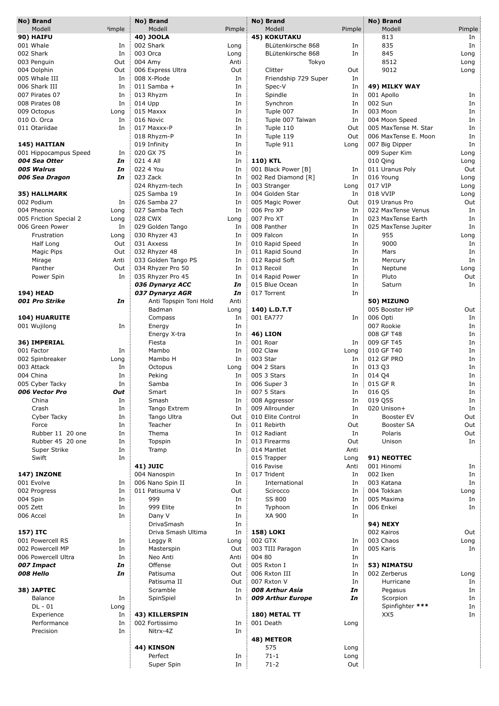|          | No) Brand              |                    | No) Brand              |         | No) Brand            |          | No) Brand            |        |
|----------|------------------------|--------------------|------------------------|---------|----------------------|----------|----------------------|--------|
|          | Modell                 | <sup>2</sup> imple | Modell                 | Pimple: | Modell               | Pimple : | Modell               | Pimple |
|          | <b>90) HAIFU</b>       |                    | 40) JOOLA              |         | <b>45) KOKUTAKU</b>  |          | 813                  | In     |
|          | 001 Whale              | In                 | 002 Shark              | Long    | BLütenkirsche 868    | In       | 835                  | In     |
|          | 002 Shark              | In                 | 003 Orca               | Long    | BLütenkirsche 868    | In       | 845                  | Long   |
|          | 003 Penguin            | Out                | 004 Amy                | Anti    | Tokyo                |          | 8512                 | Long   |
|          | 004 Dolphin            | Out                | 006 Express Ultra      | Out     | Clitter              | Out      | 9012                 | Long   |
|          | 005 Whale III          | In                 | 008 X-Plode            | In      | Friendship 729 Super | In       |                      |        |
|          | 006 Shark III          | In                 | $011$ Samba +          | In      | Spec-V               | In       | 49) MILKY WAY        |        |
|          | 007 Pirates 07         | In                 | 013 Rhyzm              | In      | Spindle              | In       | 001 Apollo           | In     |
|          | 008 Pirates 08         | In                 | 014 Upp                | In      | Synchron             | In       | 002 Sun              | In     |
|          |                        |                    |                        |         |                      |          |                      |        |
|          | 009 Octopus            | Long               | 015 Maxxx              | In      | Tuple 007            | In       | 003 Moon             | In     |
|          | 010 O. Orca            | In                 | 016 Novic              | In      | Tuple 007 Taiwan     | In       | 004 Moon Speed       | In     |
|          | 011 Otariidae          | In                 | 017 Maxxx-P            | In      | Tuple 110            | Out      | 005 MaxTense M. Star | In     |
|          |                        |                    | 018 Rhyzm-P            | In      | Tuple 119            | Out      | 006 MaxTense E. Moon | In     |
|          | 145) HAITIAN           |                    | 019 Infinity           | In      | Tuple 911            | Long     | 007 Big Dipper       | In     |
|          | 001 Hippocampus Speed  | In                 | 020 GX 75              | In      |                      |          | 009 Super Kim        | Long   |
|          | 004 Sea Otter          | In                 | 021 4 All              | In      | 110) KTL             |          | 010 Qing             | Long   |
|          | 005 Walrus             | In                 | 022 4 You              | In      | 001 Black Power [B]  | In       | 011 Uranus Poly      | Out    |
|          |                        | In                 | 023 Zack               | In      | 002 Red Diamond [R]  | In       | 016 Young            |        |
|          | 006 Sea Dragon         |                    |                        |         |                      |          |                      | Long   |
|          |                        |                    | 024 Rhyzm-tech         | In      | 003 Stranger         | Long     | 017 VIP              | Long   |
|          | 35) HALLMARK           |                    | 025 Samba 19           | In      | 004 Golden Star      | In       | 018 VVIP             | Long   |
|          | 002 Podium             | In                 | 026 Samba 27           | In      | 005 Magic Power      | Out      | 019 Uranus Pro       | Out    |
|          | 004 Pheonix            | Long               | 027 Samba Tech         | In      | 006 Pro XP           | In       | 022 MaxTense Venus   | In     |
|          | 005 Friction Special 2 | Long               | 028 CWX                | Long    | 007 Pro XT           | In       | 023 MaxTense Earth   | In     |
|          | 006 Green Power        | In                 | 029 Golden Tango       | In      | 008 Panther          | In       | 025 MaxTense Jupiter | In     |
|          | Frustration            | Long               | 030 Rhyzer 43          | In      | 009 Falcon           | In       | 955                  | Long   |
|          | Half Long              | Out                | 031 Axxess             | In      | 010 Rapid Speed      | In       | 9000                 | In     |
|          | Magic Pips             | Out                | 032 Rhyzer 48          | In      | 011 Rapid Sound      | In       | Mars                 | In     |
|          |                        |                    |                        |         |                      |          |                      |        |
|          | Mirage                 | Anti               | 033 Golden Tango PS    | In      | 012 Rapid Soft       | In       | Mercury              | In     |
|          | Panther                | Out                | 034 Rhyzer Pro 50      | In      | 013 Recoil           | In       | Neptune              | Long   |
|          | Power Spin             | In                 | 035 Rhyzer Pro 45      | In      | 014 Rapid Power      | In       | Pluto                | Out    |
|          |                        |                    | 036 Dynaryz ACC        | In      | 015 Blue Ocean       | In       | Saturn               | In     |
|          | <b>194) HEAD</b>       |                    | 037 Dynaryz AGR        | In      | 017 Torrent          | In       |                      |        |
|          | 001 Pro Strike         | In                 | Anti Topspin Toni Hold | Anti    |                      |          | 50) MIZUNO           |        |
|          |                        |                    | Badman                 | Long    | 140) L.D.T.T         |          | 005 Booster HP       | Out    |
|          | <b>104) HUARUITE</b>   |                    | Compass                | In      | 001 EA777            | In       | 006 Opti             | In     |
|          | 001 Wujilong           | In                 | Energy                 | In      |                      |          | 007 Rookie           | In     |
|          |                        |                    | Energy X-tra           | In      | <b>46) LION</b>      |          | 008 GF T48           | In     |
|          | 36) IMPERIAL           |                    | Fiesta                 | In      | 001 Roar             | In       | 009 GF T45           | In     |
|          |                        |                    |                        |         |                      |          |                      |        |
|          | 001 Factor             | In                 | Mambo                  | In      | 002 Claw             | Long     | 010 GF T40           | In     |
|          | 002 Spinbreaker        | Long               | Mambo H                | In      | 003 Star             | In       | 012 GF PRO           | In     |
|          | 003 Attack             | In                 | Octopus                | Long    | 004 2 Stars          | In       | 013 Q3               | In     |
|          | 004 China              | In                 | Peking                 | In      | 005 3 Stars          | In       | 014 Q4               | In     |
|          | 005 Cyber Tacky        | In                 | Samba                  | In      | 006 Super 3          | In       | 015 GF R             | In     |
|          | 006 Vector Pro         | Out                | Smart                  | In      | 007 5 Stars          | In       | 016 Q5               | In     |
|          | China                  | In                 | Smash                  | In      | 008 Aggressor        | In       | 019 Q5S              | In     |
|          | Crash                  | In                 | Tango Extrem           | In      | 009 Allrounder       | In       | 020 Unison+          | In     |
|          | Cyber Tacky            | In                 | Tango Ultra            | Out     | 010 Elite Control    | In       | Booster EV           | Out    |
|          | Force                  | In                 | Teacher                | In      | 011 Rebirth          | Out      | Booster SA           | Out    |
|          | Rubber 11 20 one       |                    |                        |         |                      |          |                      |        |
|          |                        | In                 | Thema                  | In      | 012 Radiant          | In       | Polaris              | Out    |
|          | Rubber 45 20 one       | In                 | Topspin                | In      | 013 Firearms         | Out      | Unison               | In     |
|          | Super Strike           | In                 | Tramp                  | In      | 014 Mantlet          | Anti     |                      |        |
|          | Swift                  | In                 |                        |         | 015 Trapper          | Long     | 91) NEOTTEC          |        |
|          |                        |                    | <b>41) JUIC</b>        |         | 016 Pavise           | Anti     | 001 Hinomi           | In     |
|          | <b>147) INZONE</b>     |                    | 004 Nanospin           | In      | 017 Trident          | In       | 002 Iken             | In     |
|          | 001 Evolve             | In                 | 006 Nano Spin II       | In      | International        | In       | 003 Katana           | In     |
|          | 002 Progress           | In                 | 011 Patisuma V         | Out     | Scirocco             | In       | 004 Tokkan           | Long   |
| 004 Spin |                        | In                 | 999                    | In      | SS 800               | In       | 005 Maxima           | In     |
| 005 Zett |                        | In                 | 999 Elite              | In      | Typhoon              | In       | 006 Enkei            | In     |
|          |                        |                    |                        |         |                      |          |                      |        |
|          | 006 Accel              | In                 | Dany V                 | In      | XA 900               | In       |                      |        |
|          |                        |                    | DrivaSmash             | In      |                      |          | <b>94) NEXY</b>      |        |
|          | 157) ITC               |                    | Driva Smash Ultima     | In      | <b>158) LOKI</b>     |          | 002 Kairos           | Out    |
|          | 001 Powercell RS       | In                 | Leggy R                | Long    | 002 GTX              | In       | 003 Chaos            | Long   |
|          | 002 Powercell MP       | In                 | Masterspin             | Out     | 003 TIII Paragon     | In       | 005 Karis            | In     |
|          | 006 Powercell Ultra    | In                 | Neo Anti               | Anti    | 004 80               | In       |                      |        |
|          | 007 Impact             | In                 | Offense                | Out     | 005 Rxton I          | In       | 53) NIMATSU          |        |
|          | 008 Hello              | In                 | Patisuma               | Out     | 006 Rxton III        | In       | 002 Zerberus         | Long   |
|          |                        |                    | Patisuma II            | Out     | 007 Rxton V          | In       | Hurricane            | In     |
|          | 38) JAPTEC             |                    | Scramble               | In      | 008 Arthur Asia      | In       | Pegasus              | In     |
|          |                        |                    |                        |         |                      |          |                      |        |
|          | Balance                | In                 | SpinSpiel              | In      | 009 Arthur Europe    | In       | Scorpion             | In     |
|          | $DL - 01$              | Long               |                        |         |                      |          | Spinfighter ***      | In     |
|          | Experience             | In                 | 43) KILLERSPIN         |         | 180) METAL TT        |          | XX5                  | In     |
|          | Performance            | In                 | 002 Fortissimo         | In      | 001 Death            | Long     |                      |        |
|          | Precision              | In                 | Nitrx-4Z               | In      |                      |          |                      |        |
|          |                        |                    |                        |         | 48) METEOR           |          |                      |        |
|          |                        |                    | 44) KINSON             |         | 575                  | Long     |                      |        |
|          |                        |                    | Perfect                | In      | $71 - 1$             | Long     |                      |        |
|          |                        |                    | Super Spin             | In      | $71-2$               | Out      |                      |        |
|          |                        |                    |                        |         |                      |          |                      |        |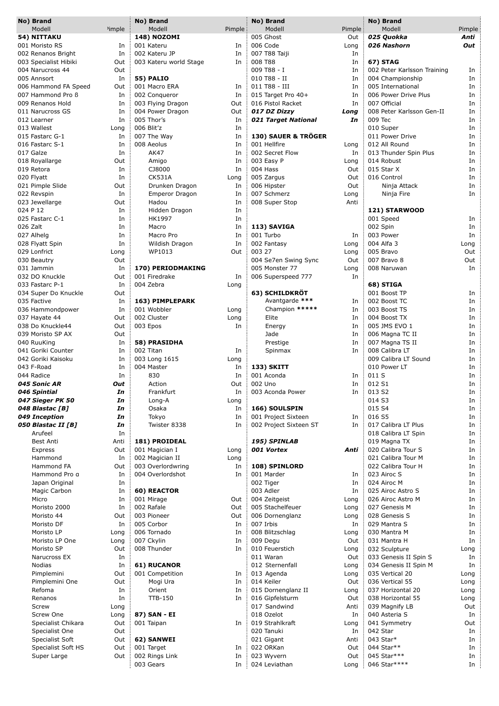| No) Brand             |                    | No) Brand              |        | No) Brand              |         | No) Brand                   |        |
|-----------------------|--------------------|------------------------|--------|------------------------|---------|-----------------------------|--------|
| Modell                | <sup>2</sup> imple | Modell                 | Pimple | Modell                 | Pimple: | Modell                      | Pimple |
| 54) NITTAKU           |                    | <b>148) NOZOMI</b>     |        | 005 Ghost              | Out     | 025 Quokka                  | Anti   |
| 001 Moristo RS        | In                 | 001 Kateru             | In     | 006 Code               | Long    | 026 Nashorn                 | Out    |
| 002 Renanos Bright    | In                 | 002 Kateru JP          | In     | 007 T88 Taiji          | In      |                             |        |
| 003 Specialist Hibiki | Out                | 003 Kateru world Stage | In     | 008 T88                | In      | <b>67) STAG</b>             |        |
| 004 Narucross 44      | Out                |                        |        | 009 T88 - I            | In      | 002 Peter Karlsson Training | In     |
| 005 Annsort           | In                 | <b>55) PALIO</b>       |        | 010 T88 - II           | In      | 004 Championship            | In     |
| 006 Hammond FA Speed  | Out                | 001 Macro ERA          | In     | 011 T88 - III          | In      | 005 International           | In     |
| 007 Hammond Pro B     | In                 | 002 Conqueror          | In     | 015 Target Pro 40+     | In      | 006 Power Drive Plus        | In     |
| 009 Renanos Hold      | In                 | 003 Flying Dragon      | Out    | 016 Pistol Racket      | In      | 007 Official                | In     |
| 011 Narucross GS      | In                 | 004 Power Dragon       | Out    | 017 DZ Dizzy           | Long    | 008 Peter Karlsson Gen-II   | In     |
| 012 Learner           | In                 | 005 Thor's             | In     | 021 Target National    | In      | 009 Tec                     | In     |
|                       |                    |                        |        |                        |         |                             |        |
| 013 Wallest           | Long               | 006 Blit'z             | In     |                        |         | 010 Super                   | In     |
| 015 Fastarc G-1       | In                 | 007 The Way            | In     | 130) SAUER & TRÖGER    |         | 011 Power Drive             | In     |
| 016 Fastarc S-1       | In                 | 008 Aeolus             | In     | 001 Hellfire           | Long    | 012 All Round               | In     |
| 017 Galze             | In                 | <b>AK47</b>            | In     | 002 Secret Flow        | In      | 013 Thunder Spin Plus       | In     |
| 018 Royallarge        | Out                | Amigo                  | In     | 003 Easy P             | Long    | 014 Robust                  | In     |
| 019 Retora            | In                 | CJ8000                 | In     | 004 Hass               | Out     | 015 Star X                  | In     |
| 020 Flyatt            | In                 | <b>CK531A</b>          | Long   | 005 Zargus             | Out     | 016 Control                 | In     |
| 021 Pimple Slide      | Out                | Drunken Dragon         | In     | 006 Hipster            | Out     | Ninja Attack                | In     |
| 022 Revspin           | In                 | Emperor Dragon         | In     | 007 Schmerz            | Long    | Ninja Fire                  | In     |
| 023 Jewellarge        | Out                | Hadou                  | In     | 008 Super Stop         | Anti    |                             |        |
| 024 P 12              | In                 | Hidden Dragon          | In     |                        |         | 121) STARWOOD               |        |
| 025 Fastarc C-1       | In                 | HK1997                 | In     |                        |         | 001 Speed                   | In     |
| 026 Zalt              | In                 | Macro                  | In     | 113) SAVIGA            |         | 002 Spin                    | In     |
|                       |                    | Macro Pro              |        | 001 Turbo              |         |                             |        |
| 027 Alhelg            | In                 |                        | In     |                        | In      | 003 Power                   | In     |
| 028 Flyatt Spin       | In                 | Wildish Dragon         | In     | 002 Fantasy            | Long    | 004 Alfa 3                  | Long   |
| 029 Lonfrict          | Long               | WP1013                 | Out    | 003 27                 | Long    | 005 Bravo                   | Out    |
| 030 Beautry           | Out                |                        |        | 004 Se7en Swing Sync   | Out     | 007 Bravo 8                 | Out    |
| 031 Jammin            | In                 | 170) PERIODMAKING      |        | 005 Monster 77         | Long    | 008 Naruwan                 | In     |
| 032 DO Knuckle        | Out                | 001 Firedrake          | In     | 006 Superspeed 777     | In      |                             |        |
| 033 Fastarc P-1       | In                 | 004 Zebra              | Long   |                        |         | 68) STIGA                   |        |
| 034 Super Do Knuckle  | Out                |                        |        | 63) SCHILDKRÖT         |         | 001 Boost TP                | In     |
| 035 Factive           | In                 | 163) PIMPLEPARK        |        | Avantgarde ***         | In      | 002 Boost TC                | In     |
| 036 Hammondpower      | In                 | 001 Wobbler            | Long   | Champion *****         | In      | 003 Boost TS                | In     |
| 037 Hayate 44         | Out                | 002 Cluster            | Long   | Elite                  | In      | 004 Boost TX                | In     |
| 038 Do Knuckle44      | Out                | 003 Epos               | In     | Energy                 | In      | 005 JMS EVO 1               | In     |
|                       | Out                |                        |        | Jade                   | In      |                             | In     |
| 039 Moristo SP AX     |                    |                        |        |                        |         | 006 Magna TC II             |        |
| 040 RuuKing           | In                 | 58) PRASIDHA           |        | Prestige               | In      | 007 Magna TS II             | In     |
| 041 Goriki Counter    | In                 | 002 Titan              | In     | Spinmax                | In      | 008 Calibra LT              | In     |
| 042 Goriki Kaisoku    | In                 | 003 Long 1615          | Long   |                        |         | 009 Calibra LT Sound        | In     |
| 043 F-Road            | In                 | 004 Master             | In     | 133) SKITT             |         | 010 Power LT                | In     |
| 044 Radice            | In                 | 830                    | In     | 001 Aconda             | In      | 011 S                       | In     |
| 045 Sonic AR          | Out                | Action                 | Out    | 002 Uno                | In      | 012 S1                      | In     |
| 046 Spintial          | In                 | Frankfurt              | In     | 003 Aconda Power       | In      | 013 S2                      | In     |
| 047 Sieger PK 50      | In                 | Long-A                 | Long   |                        |         | 014 S3                      | In     |
| 048 Blastac [B]       | In                 | Osaka                  | In     | 166) SOULSPIN          |         | 015 S4                      | In     |
| 049 Inception         | In                 | Tokyo                  | In     | 001 Project Sixteen    | In      | 016 S5                      | In     |
| 050 Blastac II [B]    | In                 | Twister 8338           | In     | 002 Project Sixteen ST | In      | 017 Calibra LT Plus         | In     |
| Arufeel               | In                 |                        |        |                        |         | 018 Calibra LT Spin         | In     |
|                       |                    |                        |        |                        |         |                             |        |
| <b>Best Anti</b>      | Anti               | 181) PROIDEAL          |        | 195) SPINLAB           |         | 019 Magna TX                | In     |
| Express               | Out                | 001 Magician I         | Long   | 001 Vortex             | Anti    | 020 Calibra Tour S          | In     |
| Hammond               | In                 | 002 Magician II        | Long   |                        |         | 021 Calibra Tour M          | In     |
| Hammond FA            | Out                | 003 Overlordwring      | In     | 108) SPINLORD          |         | 022 Calibra Tour H          | In     |
| Hammond Pro g         | In                 | 004 Overlordshot       | In     | 001 Marder             | In      | 023 Airoc S                 | In     |
| Japan Original        | In                 |                        |        | 002 Tiger              | In      | 024 Airoc M                 | In     |
| Magic Carbon          | In                 | 60) REACTOR            |        | 003 Adler              | In      | 025 Airoc Astro S           | In     |
| Micro                 | In                 | 001 Mirage             | Out    | 004 Zeitgeist          | Long    | 026 Airoc Astro M           | In     |
| Moristo 2000          | In                 | 002 Rafale             | Out    | 005 Stachelfeuer       | Long    | 027 Genesis M               | In     |
| Moristo 44            | Out                | 003 Pioneer            | Out    | 006 Dornenglanz        | Long    | 028 Genesis S               | In     |
| Moristo DF            | In                 | 005 Corbor             | In     | 007 Irbis              | In      | 029 Mantra S                | In     |
| Moristo LP            | Long               | 006 Tornado            | In     | 008 Blitzschlag        | Long    | 030 Mantra M                | In     |
| Moristo LP One        | Long               | 007 Ckylin             | In     | 009 Degu               | Out     | 031 Mantra H                | In     |
| Moristo SP            | Out                | 008 Thunder            | In     | 010 Feuerstich         | Long    | 032 Sculpture               |        |
|                       |                    |                        |        |                        |         |                             | Long   |
| Narucross EX          | In                 |                        |        | 011 Waran              | Out     | 033 Genesis II Spin S       | In     |
| <b>Nodias</b>         | In                 | 61) RUCANOR            |        | 012 Sternenfall        | Long    | 034 Genesis II Spin M       | In     |
| Pimplemini            | Out                | 001 Competition        | In     | 013 Agenda             | Long    | 035 Vertical 20             | Long   |
| Pimplemini One        | Out                | Mogi Ura               | In     | 014 Keiler             | Out     | 036 Vertical 55             | Long   |
| Refoma                | In                 | Orient                 | In     | 015 Dornenglanz II     | Long    | 037 Horizontal 20           | Long   |
| Renanos               | In                 | <b>TTB-150</b>         | In     | 016 Gipfelsturm        | Out     | 038 Horizontal 55           | Long   |
| Screw                 | Long               |                        |        | 017 Sandwind           | Anti    | 039 Magnify LB              | Out    |
| Screw One             | Long               | 87) SAN - EI           |        | 018 Ozelot             | In      | 040 Asteria S               | In     |
| Specialist Chikara    | Out                | 001 Taipan             | In     | 019 Strahlkraft        | Long    | 041 Symmetry                | Out    |
| Specialist One        | Out                |                        |        | 020 Tanuki             | In      | 042 Star                    | In     |
| Specialist Soft       | Out                | 62) SANWEI             |        | 021 Gigant             | Anti    | 043 Star*                   | In     |
| Specialist Soft HS    | Out                | 001 Target             | In     | 022 ORKan              | Out     | 044 Star**                  | In     |
| Super Large           | Out                | 002 Rings Link         | In     | 023 Wyvern             | Out     | 045 Star***                 | In     |
|                       |                    | 003 Gears              | In     | 024 Leviathan          |         | 046 Star****                | In     |
|                       |                    |                        |        |                        | Long    |                             |        |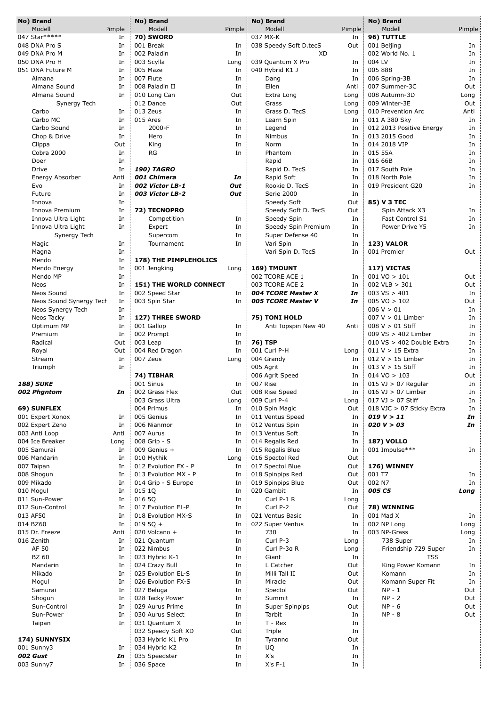| No) Brand               |                    | No) Brand                     |        | No) Brand              |         | No) Brand                 |        |
|-------------------------|--------------------|-------------------------------|--------|------------------------|---------|---------------------------|--------|
| Modell                  | <sup>2</sup> imple | Modell                        | Pimple | Modell                 | Pimple: | Modell                    | Pimple |
| 047 Star*****           | In                 | 70) SWORD                     |        | 037 MX-K               | In      | 96) TUTTLE                |        |
| 048 DNA Pro S           |                    |                               |        | 038 Speedy Soft D.tecS |         |                           |        |
|                         | In                 | 001 Break                     | In     |                        | Out     | 001 Beijing               | In     |
| 049 DNA Pro M           | In                 | 002 Paladin                   | In     | XD                     |         | 002 World No. 1           | In     |
| 050 DNA Pro H           | In                 | 003 Scylla                    | Long   | 039 Quantum X Pro      | In.     | 004 LV                    | In     |
| 051 DNA Future M        | In                 | 005 Maze                      | In     | 040 Hybrid K1 J        | In      | 005 888                   | In     |
| Almana                  | In                 | 007 Flute                     | In     | Dang                   | In      | 006 Spring-3B             | In     |
| Almana Sound            | In                 | 008 Paladin II                | In     | Ellen                  | Anti    | 007 Summer-3C             | Out    |
| Almana Sound            | In                 | 010 Long Can                  | Out    | Extra Long             | Long    | 008 Autumn-3D             | Long   |
| Synergy Tech            |                    | 012 Dance                     | Out    | Grass                  | Long    | 009 Winter-3E             | Out    |
| Carbo                   | In                 | 013 Zeus                      | In     | Grass D. TecS          | Long    | 010 Prevention Arc        | Anti   |
|                         |                    |                               |        |                        |         |                           |        |
| Carbo MC                | In                 | 015 Ares                      | In     | Learn Spin             | In      | 011 A 380 Sky             | In     |
| Carbo Sound             | In                 | 2000-F                        | In     | Legend                 | In      | 012 2013 Positive Energy  | In     |
| Chop & Drive            | In                 | Hero                          | In     | <b>Nimbus</b>          | In      | 013 2015 Good             | In     |
| Clippa                  | Out                | King                          | In     | Norm                   | In      | 014 2018 VIP              | In     |
| Cobra 2000              | In                 | RG                            | In     | Phantom                | In      | 015 55A                   | In     |
| Doer                    | In                 |                               |        | Rapid                  | In      | 016 66B                   | In     |
| Drive                   | In                 | <b>190) TAGRO</b>             |        | Rapid D. TecS          | In      | 017 South Pole            | In     |
|                         |                    | 001 Chimera                   | In     |                        |         | 018 North Pole            | In     |
| Energy Absorber         | Anti               |                               |        | Rapid Soft             | In      |                           |        |
| Evo                     | In                 | 002 Victor LB-1               | Out    | Rookie D. TecS         | In      | 019 President G20         | In     |
| Future                  | In                 | 003 Victor LB-2               | Out    | Serie 2000             | In      |                           |        |
| Innova                  | In                 |                               |        | Speedy Soft            | Out     | 85) V 3 TEC               |        |
| Innova Premium          | In                 | 72) TECNOPRO                  |        | Speedy Soft D. TecS    | Out     | Spin Attack X3            | In     |
| Innova Ultra Light      | In                 | Competition                   | In     | Speedy Spin            | In      | Fast Control S1           | In     |
| Innova Ultra Light      | In                 | Expert                        | In     | Speedy Spin Premium    | In      | Power Drive Y5            | In     |
| Synergy Tech            |                    | Supercom                      | In     | Super Defense 40       | In      |                           |        |
| Magic                   | In                 | Tournament                    | In     | Vari Spin              | In      | <b>123) VALOR</b>         |        |
|                         |                    |                               |        |                        |         |                           |        |
| Magna                   | In                 |                               |        | Vari Spin D. TecS      | In      | 001 Premier               | Out    |
| Mendo                   | In                 | 178) THE PIMPLEHOLICS         |        |                        |         |                           |        |
| Mendo Energy            | In                 | 001 Jengking                  | Long   | 169) TMOUNT            |         | 117) VICTAS               |        |
| Mendo MP                | In                 |                               |        | 002 TCORE ACE 1        | In      | $001 \text{ VO} > 101$    | Out    |
| Neos                    | In                 | <b>151) THE WORLD CONNECT</b> |        | 003 TCORE ACE 2        | In      | 002 VLB $> 301$           | Out    |
| Neos Sound              | In                 | 002 Speed Star                | In     | 004 TCORE Master X     | In      | $003$ VS $> 401$          | In     |
| Neos Sound Synergy Tech | In                 | 003 Spin Star                 | In     | 005 TCORE Master V     | In      | $005 \text{ VO} > 102$    | Out    |
| Neos Synergy Tech       | In                 |                               |        |                        |         | 006 V > 01                | In     |
|                         |                    |                               |        |                        |         |                           |        |
| Neos Tacky              | In                 | 127) THREE SWORD              |        | <b>75) TONI HOLD</b>   |         | $007 V > 01$ Limber       | In     |
| Optimum MP              | In                 | 001 Gallop                    | In     | Anti Topspin New 40    | Anti    | 008 $V > 01$ Stiff        | In     |
| Premium                 | In                 | 002 Prompt                    | In     |                        |         | 009 VS > 402 Limber       | In     |
| Radical                 | Out                | 003 Leap                      | In     | 76) TSP                |         | 010 VS > 402 Double Extra | In     |
| Royal                   | Out                | 004 Red Dragon                | In     | 001 Curl P-H           | Long    | $011 V > 15$ Extra        | In     |
| Stream                  | In                 | 007 Zeus                      | Long   | 004 Grandy             | In      | $012 V > 15$ Limber       | In     |
| Triumph                 | In                 |                               |        | 005 Agrit              | In      | $013 V > 15$ Stiff        | In     |
|                         |                    | 74) TIBHAR                    |        | 006 Agrit Speed        | In      | $014 \text{ VO} > 103$    | Out    |
| 188) SUKE               |                    | 001 Sinus                     | In     | 007 Rise               | In.     | $015$ VJ $> 07$ Regular   | In     |
|                         |                    |                               |        |                        |         |                           |        |
| 002 Phgntom             | In                 | 002 Grass Flex                | Out    | 008 Rise Speed         | In      | 016 VJ > 07 Limber        | In     |
|                         |                    | 003 Grass Ultra               | Long   | 009 Curl P-4           | Long    | 017 VJ > 07 Stiff         | In     |
| 69) SUNFLEX             |                    | 004 Primus                    | In     | 010 Spin Magic         | Out     | 018 VJC > 07 Sticky Extra | In     |
| 001 Expert Xonox        | In                 | 005 Genius                    | In     | 011 Ventus Speed       | In      | 019 V > 11                | In     |
| 002 Expert Zeno         | In                 | 006 Nianmor                   | In     | 012 Ventus Spin        | In      | 020 V > 03                | In     |
| 003 Anti Loop           | Anti               | 007 Aurus                     | In     | 013 Ventus Soft        | In      |                           |        |
| 004 Ice Breaker         | Long               | 008 Grip - S                  | In     | 014 Regalis Red        | In      | <b>187) VOLLO</b>         |        |
| 005 Samurai             | In                 | 009 Genius +                  | In     | 015 Regalis Blue       | In      | 001 Impulse***            | In     |
| 006 Mandarin            | In                 |                               |        |                        | Out     |                           |        |
|                         |                    | 010 Mythik                    | Long   | 016 Spectol Red        |         |                           |        |
| 007 Taipan              | In                 | 012 Evolution FX - P          | In     | 017 Spectol Blue       | Out     | 176) WINNEY               |        |
| 008 Shogun              | In                 | 013 Evolution MX - P          | In     | 018 Spinpips Red       | Out     | 001 T7                    | In     |
| 009 Mikado              | In                 | 014 Grip - S Europe           | In     | 019 Spinpips Blue      | Out     | 002 N7                    | In     |
| 010 Mogul               | In                 | 015 1Q                        | In     | 020 Gambit             | In      | 005 C5                    | Long   |
| 011 Sun-Power           | In                 | 016 5Q                        | In     | Curl P-1 R             | Long    |                           |        |
| 012 Sun-Control         | In                 | 017 Evolution EL-P            | In     | Curl P-2               | Out     | 78) WINNING               |        |
| 013 AF50                | In                 | 018 Evolution MX-S            | In     | 021 Ventus Basic       | In      | 001 Mad X                 | In     |
| 014 BZ60                | In                 | $0195Q +$                     | In     | 022 Super Ventus       | In      | 002 NP Long               | Long   |
| 015 Dr. Freeze          | Anti               | 020 Volcano +                 | In     | 730                    | In      | 003 NP-Grass              | Long   |
|                         |                    |                               |        |                        |         |                           |        |
| 016 Zenith              | In                 | 021 Quantum                   | In     | Curl P-3               | Long    | 738 Super                 | In     |
| AF 50                   | In                 | 022 Nimbus                    | In     | Curl P-3a R            | Long    | Friendship 729 Super      | In     |
| <b>BZ 60</b>            | In                 | 023 Hybrid K-1                | In     | Giant                  | In      | TSS                       |        |
| Mandarin                | In                 | 024 Crazy Bull                | In     | L Catcher              | Out     | King Power Komann         | In     |
| Mikado                  | In                 | 025 Evolution EL-S            | In     | Milli Tall II          | Out     | Komann                    | In     |
| Mogul                   | In                 | 026 Evolution FX-S            | In     | Miracle                | Out     | Komann Super Fit          | In     |
| Samurai                 | In                 | 027 Beluga                    | In     | Spectol                | Out     | $NP - 1$                  | Out    |
| Shogun                  | In                 | 028 Tacky Power               | In     | Summit                 | In      | $NP - 2$                  | Out    |
| Sun-Control             | In                 | 029 Aurus Prime               | In     | Super Spinpips         | Out     | $NP - 6$                  | Out    |
| Sun-Power               |                    | 030 Aurus Select              | In     | Tarbit                 |         | $NP - 8$                  | Out    |
|                         | In                 |                               |        |                        | In      |                           |        |
| Taipan                  | In                 | 031 Quantum X                 | In     | T - Rex                | In      |                           |        |
|                         |                    | 032 Speedy Soft XD            | Out    | Triple                 | In      |                           |        |
| 174) SUNNYSIX           |                    | 033 Hybrid K1 Pro             | In     | Tyranno                | Out     |                           |        |
| 001 Sunny3              | In                 | 034 Hybrid K2                 | In     | UQ                     | In      |                           |        |
| 002 Gust                | In                 | 035 Speedster                 | In     | X's                    | In      |                           |        |
| 003 Sunny7              | In                 | 036 Space                     | In     | $X's F-1$              | In      |                           |        |
|                         |                    |                               |        |                        |         |                           |        |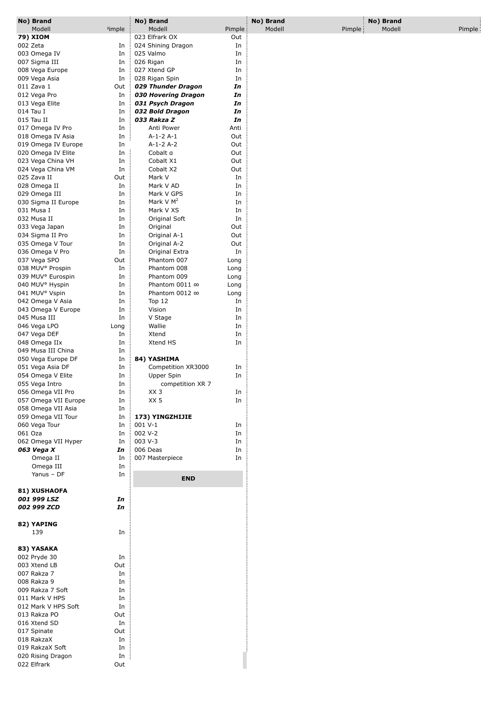| No) Brand                                    |                    | No) Brand                         |              | No) Brand |        | No) Brand |        |
|----------------------------------------------|--------------------|-----------------------------------|--------------|-----------|--------|-----------|--------|
| Modell                                       | <sup>2</sup> imple | Modell                            | Pimple       | Modell    | Pimple | Modell    | Pimple |
| 79) XIOM                                     |                    | 023 Elfrark OX                    | Out          |           |        |           |        |
| 002 Zeta                                     | In                 | 024 Shining Dragon                | In           |           |        |           |        |
| 003 Omega IV<br>007 Sigma III                | In<br>In           | 025 Valmo<br>026 Rigan            | In<br>In     |           |        |           |        |
| 008 Vega Europe                              | In                 | 027 Xtend GP                      | In           |           |        |           |        |
| 009 Vega Asia                                | In                 | 028 Rigan Spin                    | In           |           |        |           |        |
| 011 Zava 1                                   | Out                | 029 Thunder Dragon                | In           |           |        |           |        |
| 012 Vega Pro                                 | In                 | 030 Hovering Dragon               | In           |           |        |           |        |
| 013 Vega Elite                               | In                 | 031 Psych Dragon                  | In           |           |        |           |        |
| 014 Tau I                                    | In                 | 032 Bold Dragon                   | In           |           |        |           |        |
| 015 Tau II                                   | In                 | 033 Rakza Z                       | In           |           |        |           |        |
| 017 Omega IV Pro                             | In                 | Anti Power                        | Anti         |           |        |           |        |
| 018 Omega IV Asia                            | In                 | $A-1-2A-1$                        | Out          |           |        |           |        |
| 019 Omega IV Europe                          | In                 | $A-1-2A-2$                        | Out          |           |        |           |        |
| 020 Omega IV Elite<br>023 Vega China VH      | In<br>In           | Cobalt a<br>Cobalt X1             | Out<br>Out   |           |        |           |        |
| 024 Vega China VM                            | In                 | Cobalt X2                         | Out          |           |        |           |        |
| 025 Zava II                                  | Out                | Mark V                            | In           |           |        |           |        |
| 028 Omega II                                 | In                 | Mark V AD                         | In           |           |        |           |        |
| 029 Omega III                                | In                 | Mark V GPS                        | In           |           |        |           |        |
| 030 Sigma II Europe                          | In                 | Mark V $M^2$                      | In           |           |        |           |        |
| 031 Musa I                                   | In                 | Mark V XS                         | In           |           |        |           |        |
| 032 Musa II                                  | In                 | Original Soft                     | In           |           |        |           |        |
| 033 Vega Japan                               | In                 | Original                          | Out          |           |        |           |        |
| 034 Sigma II Pro                             | In                 | Original A-1                      | Out          |           |        |           |        |
| 035 Omega V Tour                             | In                 | Original A-2                      | Out          |           |        |           |        |
| 036 Omega V Pro                              | In                 | Original Extra                    | In           |           |        |           |        |
| 037 Vega SPO<br>038 MUV <sup>o</sup> Prospin | Out<br>In          | Phantom 007<br>Phantom 008        | Long<br>Long |           |        |           |        |
| 039 MUV <sup>o</sup> Eurospin                | In                 | Phantom 009                       | Long         |           |        |           |        |
| 040 MUV° Hyspin                              | In                 | Phantom 0011 ∞                    | Long         |           |        |           |        |
| 041 MUV° Vspin                               | In                 | Phantom 0012 ∞                    | Long         |           |        |           |        |
| 042 Omega V Asia                             | In                 | Top $12$                          | In           |           |        |           |        |
| 043 Omega V Europe                           | In                 | Vision                            | In           |           |        |           |        |
| 045 Musa III                                 | In                 | V Stage                           | In           |           |        |           |        |
| 046 Vega LPO                                 | Long               | Wallie                            | In           |           |        |           |        |
| 047 Vega DEF                                 | In                 | Xtend                             | In           |           |        |           |        |
| 048 Omega IIx                                | In                 | Xtend HS                          | In           |           |        |           |        |
| 049 Musa III China                           | In                 |                                   |              |           |        |           |        |
| 050 Vega Europe DF<br>051 Vega Asia DF       | In<br>In           | 84) YASHIMA<br>Competition XR3000 |              |           |        |           |        |
| 054 Omega V Elite                            | In                 | Upper Spin                        | In<br>In     |           |        |           |        |
| 055 Vega Intro                               | In                 | competition XR 7                  |              |           |        |           |        |
| 056 Omega VII Pro                            | In                 | XX <sub>3</sub>                   | In           |           |        |           |        |
| 057 Omega VII Europe                         | In                 | XX 5                              | In           |           |        |           |        |
| 058 Omega VII Asia                           | In                 |                                   |              |           |        |           |        |
| 059 Omega VII Tour                           | In                 | 173) YINGZHIJIE                   |              |           |        |           |        |
| 060 Vega Tour                                | In                 | 001 V-1                           | In           |           |        |           |        |
| 061 Oza                                      | In                 | 002 V-2                           | In           |           |        |           |        |
| 062 Omega VII Hyper                          | In                 | 003 V-3                           | In           |           |        |           |        |
| 063 Vega X<br>Omega II                       | In                 | 006 Deas<br>007 Masterpiece       | In           |           |        |           |        |
| Omega III                                    | In<br>In           |                                   | In           |           |        |           |        |
| Yanus - DF                                   | In                 |                                   |              |           |        |           |        |
|                                              |                    | <b>END</b>                        |              |           |        |           |        |
| 81) XUSHAOFA                                 |                    |                                   |              |           |        |           |        |
| 001 999 LSZ                                  | In                 |                                   |              |           |        |           |        |
| 002 999 ZCD                                  | In                 |                                   |              |           |        |           |        |
| 82) YAPING                                   |                    |                                   |              |           |        |           |        |
| 139                                          | In                 |                                   |              |           |        |           |        |
|                                              |                    |                                   |              |           |        |           |        |
| 83) YASAKA                                   |                    |                                   |              |           |        |           |        |
| 002 Pryde 30                                 | In                 |                                   |              |           |        |           |        |
| 003 Xtend LB                                 | Out                |                                   |              |           |        |           |        |
| 007 Rakza 7                                  | In                 |                                   |              |           |        |           |        |
| 008 Rakza 9                                  | In                 |                                   |              |           |        |           |        |
| 009 Rakza 7 Soft                             | In                 |                                   |              |           |        |           |        |
| 011 Mark V HPS                               | In                 |                                   |              |           |        |           |        |
| 012 Mark V HPS Soft                          | In                 |                                   |              |           |        |           |        |
| 013 Rakza PO<br>016 Xtend SD                 | Out<br>In          |                                   |              |           |        |           |        |
| 017 Spinate                                  | Out                |                                   |              |           |        |           |        |
| 018 RakzaX                                   | In                 |                                   |              |           |        |           |        |
| 019 RakzaX Soft                              | In                 |                                   |              |           |        |           |        |
| 020 Rising Dragon                            | In                 |                                   |              |           |        |           |        |
| 022 Elfrark                                  | Out                |                                   |              |           |        |           |        |